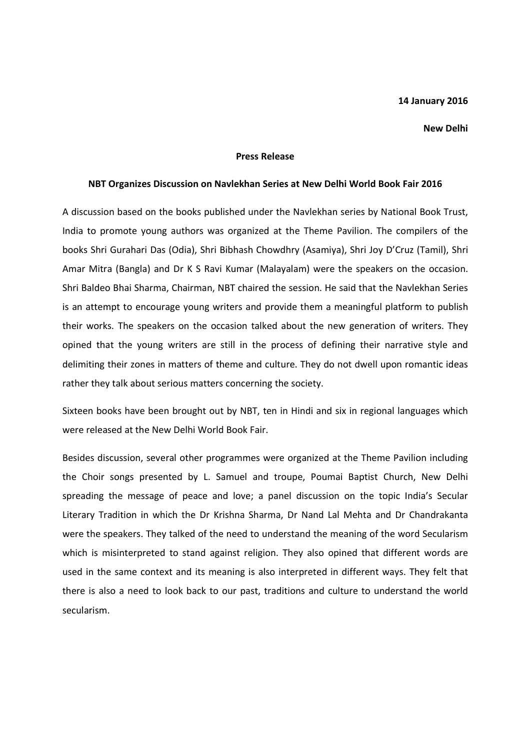## 14 January 2016

## New Delhi

## Press Release

## NBT Organizes Discussion on Navlekhan Series at New Delhi World Book Fair 2016

A discussion based on the books published under the Navlekhan series by National Book Trust, India to promote young authors was organized at the Theme Pavilion. The compilers of the books Shri Gurahari Das (Odia), Shri Bibhash Chowdhry (Asamiya), Shri Joy D'Cruz (Tamil), Shri Amar Mitra (Bangla) and Dr K S Ravi Kumar (Malayalam) were the speakers on the occasion. Shri Baldeo Bhai Sharma, Chairman, NBT chaired the session. He said that the Navlekhan Series is an attempt to encourage young writers and provide them a meaningful platform to publish their works. The speakers on the occasion talked about the new generation of writers. They opined that the young writers are still in the process of defining their narrative style and delimiting their zones in matters of theme and culture. They do not dwell upon romantic ideas rather they talk about serious matters concerning the society.

Sixteen books have been brought out by NBT, ten in Hindi and six in regional languages which were released at the New Delhi World Book Fair.

Besides discussion, several other programmes were organized at the Theme Pavilion including the Choir songs presented by L. Samuel and troupe, Poumai Baptist Church, New Delhi spreading the message of peace and love; a panel discussion on the topic India's Secular Literary Tradition in which the Dr Krishna Sharma, Dr Nand Lal Mehta and Dr Chandrakanta were the speakers. They talked of the need to understand the meaning of the word Secularism which is misinterpreted to stand against religion. They also opined that different words are used in the same context and its meaning is also interpreted in different ways. They felt that there is also a need to look back to our past, traditions and culture to understand the world secularism.